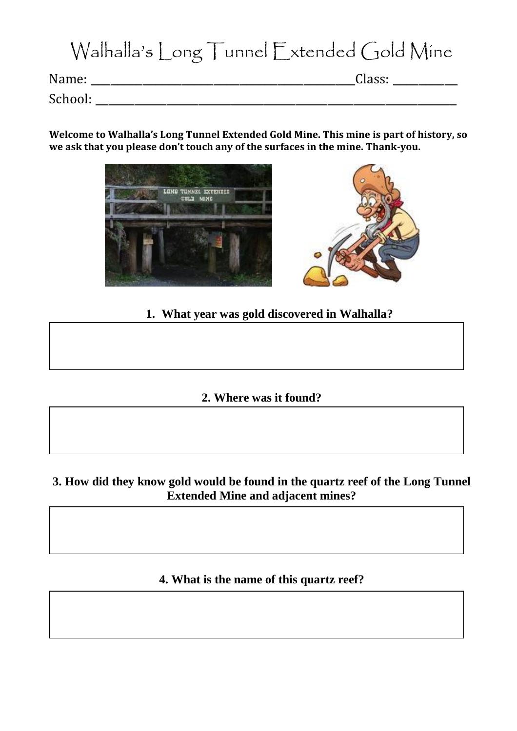# Walhalla's Long Tunnel Extended Gold Mine

Name: \_\_\_\_\_\_\_\_\_\_\_\_\_\_\_\_\_\_\_\_\_\_\_\_\_\_\_\_\_\_\_\_\_\_\_\_\_\_\_\_\_Class: \_\_\_\_\_\_\_\_\_\_

School: \_\_\_\_\_\_\_\_\_\_\_\_\_\_\_\_\_\_\_\_\_\_\_\_\_\_\_\_\_\_\_\_\_\_\_\_\_\_\_\_\_\_\_\_\_\_\_\_\_\_\_\_\_\_\_\_

**Welcome to Walhalla's Long Tunnel Extended Gold Mine. This mine is part of history, so we ask that you please don't touch any of the surfaces in the mine. Thank-you.**





# **1. What year was gold discovered in Walhalla?**

## **2. Where was it found?**

## **3. How did they know gold would be found in the quartz reef of the Long Tunnel Extended Mine and adjacent mines?**

# **4. What is the name of this quartz reef?**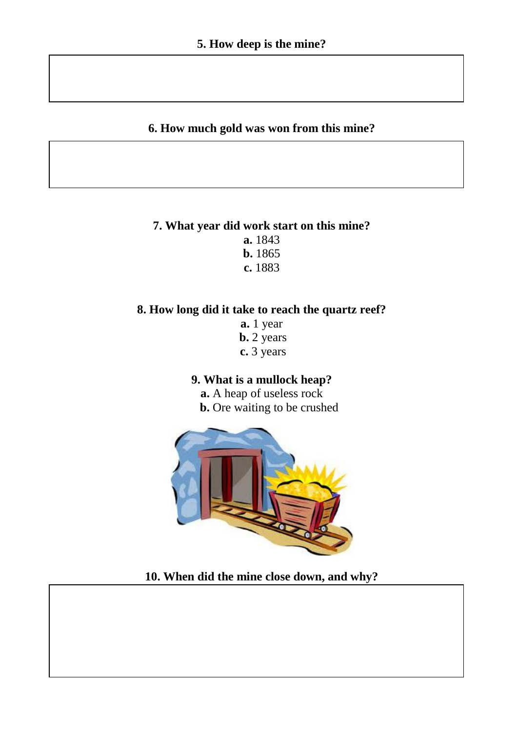### **6. How much gold was won from this mine?**

# **7. What year did work start on this mine?**

**a.** 1843 **b.** 1865

**c.** 1883

### **8. How long did it take to reach the quartz reef?**

**a.** 1 year **b.** 2 years **c.** 3 years

### **9. What is a mullock heap?**

**a.** A heap of useless rock  **b.** Ore waiting to be crushed



**10. When did the mine close down, and why?**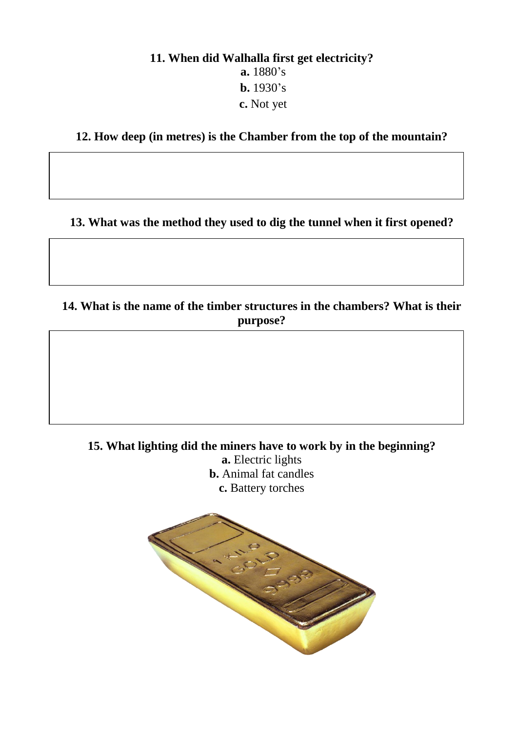# **11. When did Walhalla first get electricity? a.** 1880's **b.** 1930's **c.** Not yet

**12. How deep (in metres) is the Chamber from the top of the mountain?**

**13. What was the method they used to dig the tunnel when it first opened?**

# **14. What is the name of the timber structures in the chambers? What is their purpose?**

**15. What lighting did the miners have to work by in the beginning?**

**a.** Electric lights **b.** Animal fat candles **c.** Battery torches